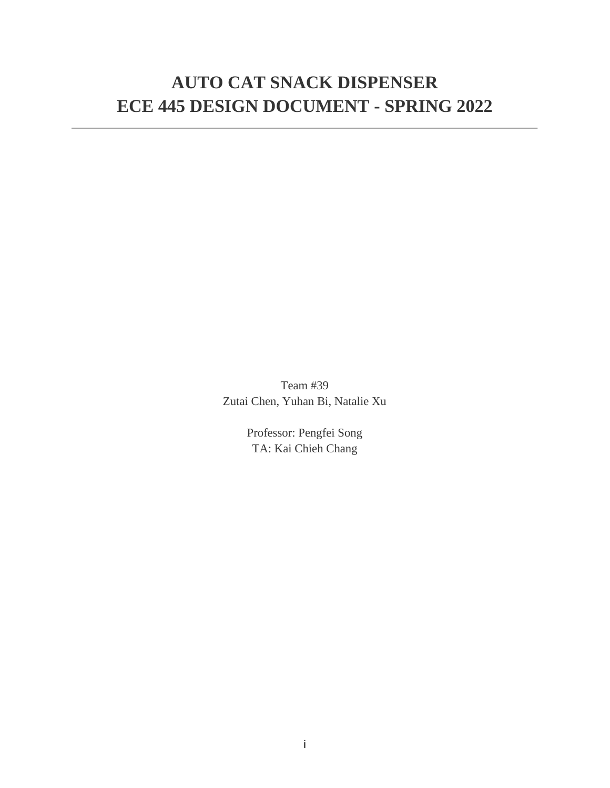# **AUTO CAT SNACK DISPENSER ECE 445 DESIGN DOCUMENT - SPRING 2022**

Team #39 Zutai Chen, Yuhan Bi, Natalie Xu

> Professor: Pengfei Song TA: Kai Chieh Chang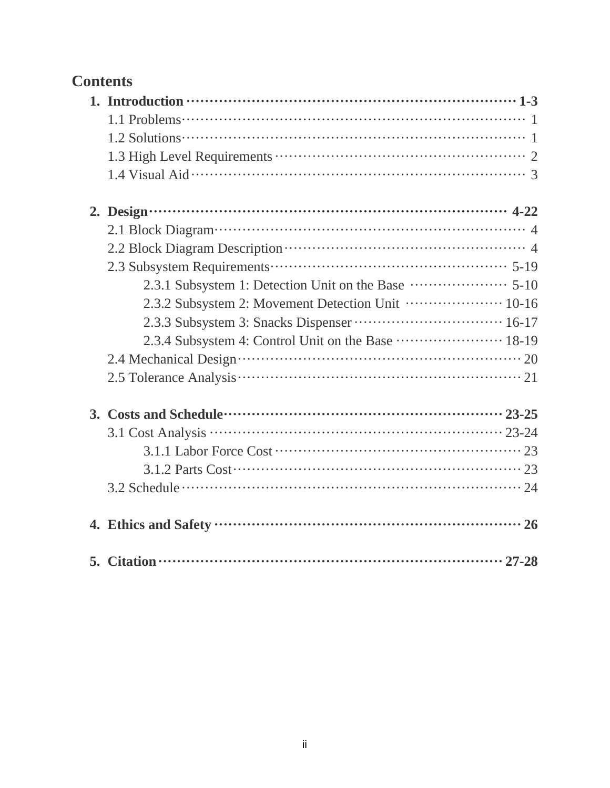# **Contents**

| 2. Design $\cdots$ $\cdots$ $\cdots$ $\cdots$ $\cdots$ $\cdots$ $\cdots$ $\cdots$ $\cdots$ $\cdots$ $\cdots$ $\cdots$ $\cdots$ $\cdots$ $\cdots$ $\cdots$ $\cdots$ $\cdots$ $\cdots$ $\cdots$ $\cdots$ $\cdots$ $\cdots$ $\cdots$ $\cdots$ $\cdots$ $\cdots$ $\cdots$ $\cdots$ $\cdots$ $\cdots$ $\cdots$ $\cdots$ $\cdots$ $\cdots$ |  |
|--------------------------------------------------------------------------------------------------------------------------------------------------------------------------------------------------------------------------------------------------------------------------------------------------------------------------------------|--|
|                                                                                                                                                                                                                                                                                                                                      |  |
|                                                                                                                                                                                                                                                                                                                                      |  |
|                                                                                                                                                                                                                                                                                                                                      |  |
|                                                                                                                                                                                                                                                                                                                                      |  |
| 2.3.2 Subsystem 2: Movement Detection Unit  10-16                                                                                                                                                                                                                                                                                    |  |
|                                                                                                                                                                                                                                                                                                                                      |  |
|                                                                                                                                                                                                                                                                                                                                      |  |
|                                                                                                                                                                                                                                                                                                                                      |  |
|                                                                                                                                                                                                                                                                                                                                      |  |
|                                                                                                                                                                                                                                                                                                                                      |  |
|                                                                                                                                                                                                                                                                                                                                      |  |
|                                                                                                                                                                                                                                                                                                                                      |  |
|                                                                                                                                                                                                                                                                                                                                      |  |
|                                                                                                                                                                                                                                                                                                                                      |  |
|                                                                                                                                                                                                                                                                                                                                      |  |
|                                                                                                                                                                                                                                                                                                                                      |  |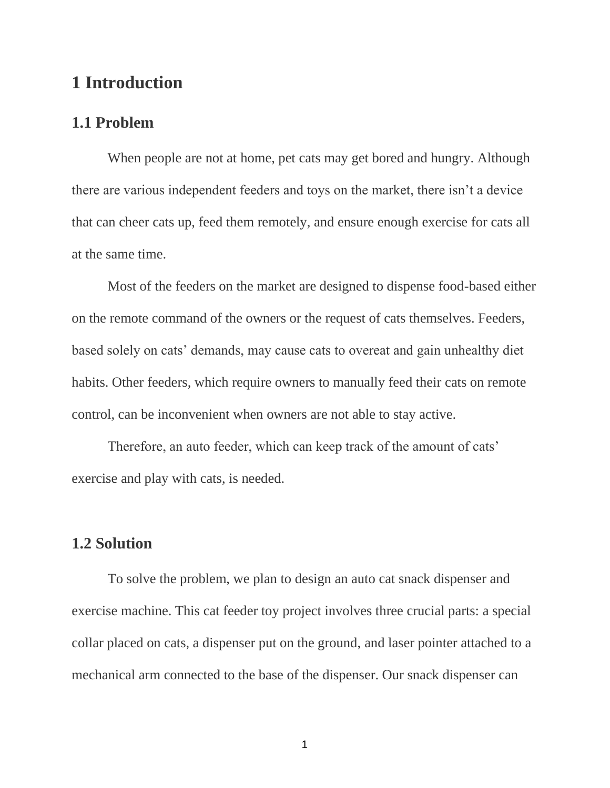## **1 Introduction**

#### **1.1 Problem**

When people are not at home, pet cats may get bored and hungry. Although there are various independent feeders and toys on the market, there isn't a device that can cheer cats up, feed them remotely, and ensure enough exercise for cats all at the same time.

Most of the feeders on the market are designed to dispense food-based either on the remote command of the owners or the request of cats themselves. Feeders, based solely on cats' demands, may cause cats to overeat and gain unhealthy diet habits. Other feeders, which require owners to manually feed their cats on remote control, can be inconvenient when owners are not able to stay active.

Therefore, an auto feeder, which can keep track of the amount of cats' exercise and play with cats, is needed.

## **1.2 Solution**

To solve the problem, we plan to design an auto cat snack dispenser and exercise machine. This cat feeder toy project involves three crucial parts: a special collar placed on cats, a dispenser put on the ground, and laser pointer attached to a mechanical arm connected to the base of the dispenser. Our snack dispenser can

1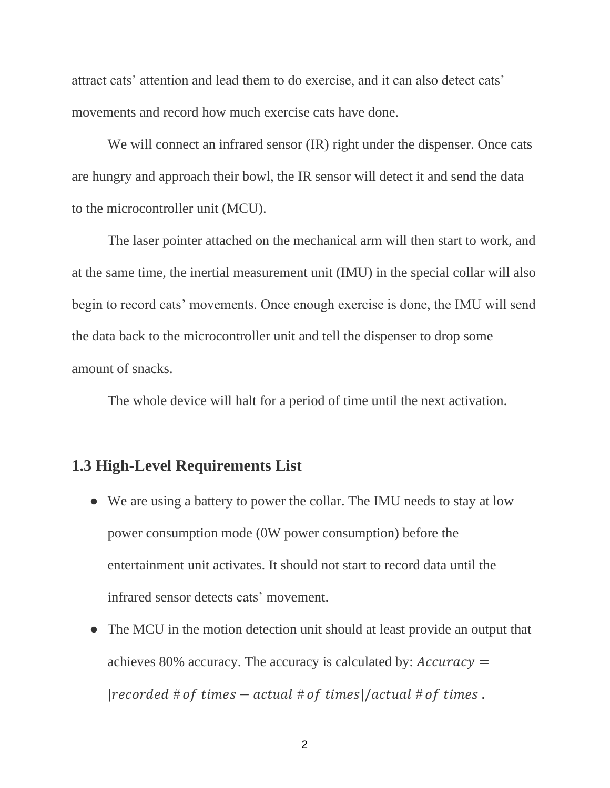attract cats' attention and lead them to do exercise, and it can also detect cats' movements and record how much exercise cats have done.

We will connect an infrared sensor *(IR)* right under the dispenser. Once cats are hungry and approach their bowl, the IR sensor will detect it and send the data to the microcontroller unit (MCU).

The laser pointer attached on the mechanical arm will then start to work, and at the same time, the inertial measurement unit (IMU) in the special collar will also begin to record cats' movements. Once enough exercise is done, the IMU will send the data back to the microcontroller unit and tell the dispenser to drop some amount of snacks.

The whole device will halt for a period of time until the next activation.

#### **1.3 High-Level Requirements List**

- We are using a battery to power the collar. The IMU needs to stay at low power consumption mode (0W power consumption) before the entertainment unit activates. It should not start to record data until the infrared sensor detects cats' movement.
- The MCU in the motion detection unit should at least provide an output that achieves 80% accuracy. The accuracy is calculated by:  $Accuracy =$  $|recorded # of times - actual # of times |/actual # of times.$

2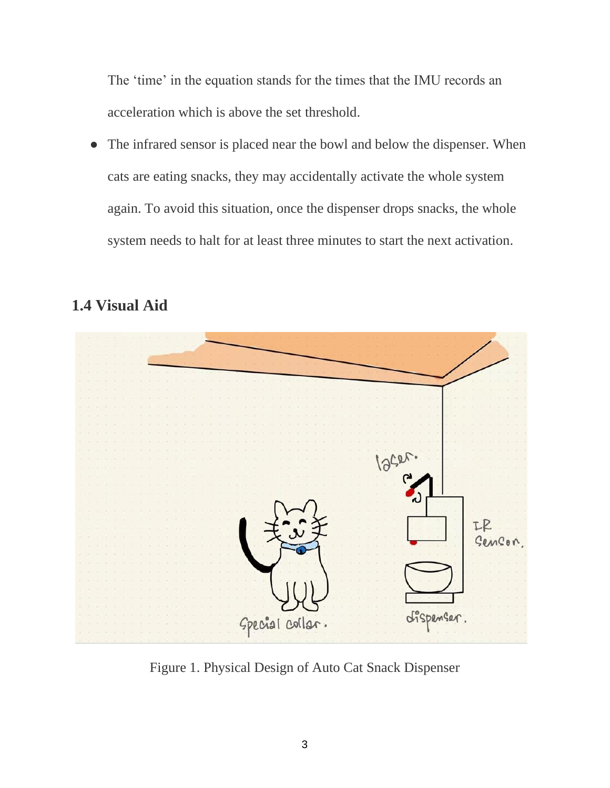The 'time' in the equation stands for the times that the IMU records an acceleration which is above the set threshold.

• The infrared sensor is placed near the bowl and below the dispenser. When cats are eating snacks, they may accidentally activate the whole system again. To avoid this situation, once the dispenser drops snacks, the whole system needs to halt for at least three minutes to start the next activation.

# **1.4 Visual Aid**



Figure 1. Physical Design of Auto Cat Snack Dispenser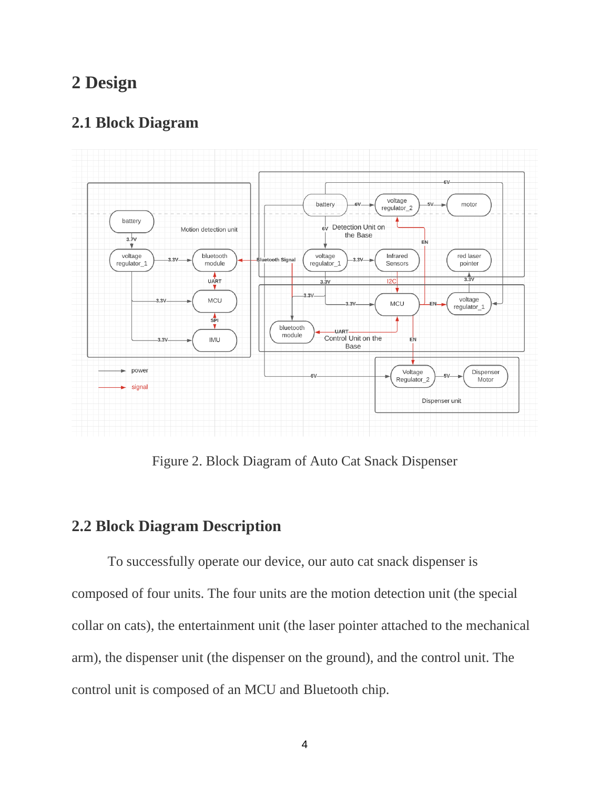## **2 Design**

## **2.1 Block Diagram**



Figure 2. Block Diagram of Auto Cat Snack Dispenser

### **2.2 Block Diagram Description**

To successfully operate our device, our auto cat snack dispenser is composed of four units. The four units are the motion detection unit (the special collar on cats), the entertainment unit (the laser pointer attached to the mechanical arm), the dispenser unit (the dispenser on the ground), and the control unit. The control unit is composed of an MCU and Bluetooth chip.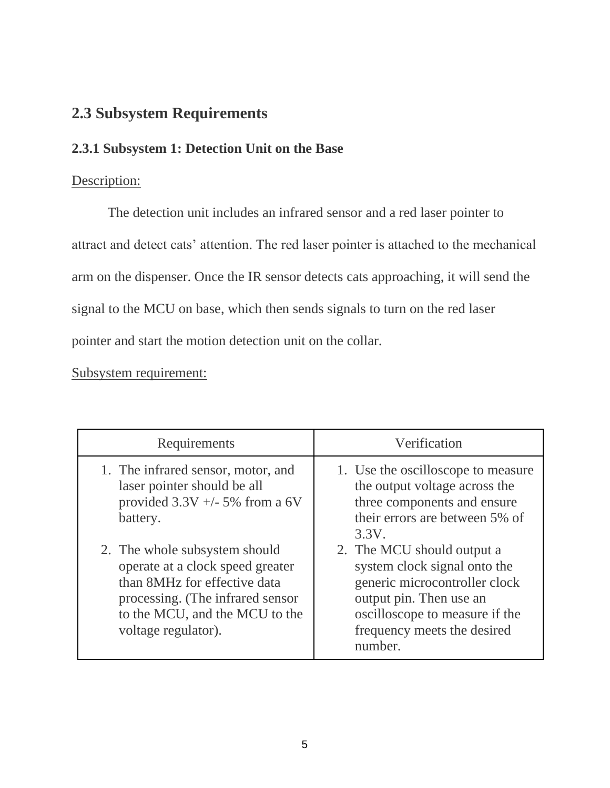## **2.3 Subsystem Requirements**

## **2.3.1 Subsystem 1: Detection Unit on the Base**

#### Description:

The detection unit includes an infrared sensor and a red laser pointer to attract and detect cats' attention. The red laser pointer is attached to the mechanical arm on the dispenser. Once the IR sensor detects cats approaching, it will send the signal to the MCU on base, which then sends signals to turn on the red laser pointer and start the motion detection unit on the collar.

### Subsystem requirement:

| Requirements                                                                                                                                                                                   | Verification                                                                                                                                                                                       |
|------------------------------------------------------------------------------------------------------------------------------------------------------------------------------------------------|----------------------------------------------------------------------------------------------------------------------------------------------------------------------------------------------------|
| 1. The infrared sensor, motor, and<br>laser pointer should be all<br>provided $3.3V +/- 5\%$ from a 6V<br>battery.                                                                             | 1. Use the oscilloscope to measure<br>the output voltage across the<br>three components and ensure<br>their errors are between 5% of<br>3.3V.                                                      |
| 2. The whole subsystem should<br>operate at a clock speed greater<br>than 8MHz for effective data<br>processing. (The infrared sensor<br>to the MCU, and the MCU to the<br>voltage regulator). | 2. The MCU should output a<br>system clock signal onto the<br>generic microcontroller clock<br>output pin. Then use an<br>oscilloscope to measure if the<br>frequency meets the desired<br>number. |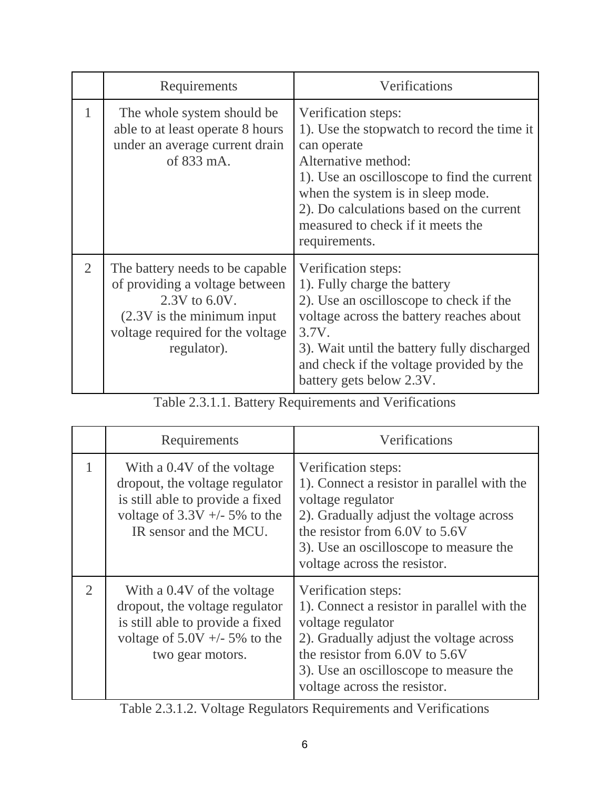|                | Requirements                                                                                                                                                                 | Verifications                                                                                                                                                                                                                                                                                  |
|----------------|------------------------------------------------------------------------------------------------------------------------------------------------------------------------------|------------------------------------------------------------------------------------------------------------------------------------------------------------------------------------------------------------------------------------------------------------------------------------------------|
|                | The whole system should be<br>able to at least operate 8 hours<br>under an average current drain<br>of 833 mA.                                                               | Verification steps:<br>1). Use the stopwatch to record the time it<br>can operate<br>Alternative method:<br>1). Use an oscilloscope to find the current<br>when the system is in sleep mode.<br>2). Do calculations based on the current<br>measured to check if it meets the<br>requirements. |
| $\overline{2}$ | The battery needs to be capable.<br>of providing a voltage between<br>$2.3V$ to $6.0V$ .<br>$(2.3V)$ is the minimum input<br>voltage required for the voltage<br>regulator). | Verification steps:<br>1). Fully charge the battery<br>2). Use an oscilloscope to check if the<br>voltage across the battery reaches about<br>3.7V.<br>3). Wait until the battery fully discharged<br>and check if the voltage provided by the<br>battery gets below 2.3V.                     |

| Table 2.3.1.1. Battery Requirements and Verifications |  |
|-------------------------------------------------------|--|
|-------------------------------------------------------|--|

|   | Requirements                                                                                                                                                  | Verifications                                                                                                                                                                                                                                  |
|---|---------------------------------------------------------------------------------------------------------------------------------------------------------------|------------------------------------------------------------------------------------------------------------------------------------------------------------------------------------------------------------------------------------------------|
|   | With a 0.4V of the voltage<br>dropout, the voltage regulator<br>is still able to provide a fixed<br>voltage of $3.3V + -5\%$ to the<br>IR sensor and the MCU. | Verification steps:<br>1). Connect a resistor in parallel with the<br>voltage regulator<br>2). Gradually adjust the voltage across<br>the resistor from 6.0V to 5.6V<br>3). Use an oscilloscope to measure the<br>voltage across the resistor. |
| 2 | With a 0.4V of the voltage<br>dropout, the voltage regulator<br>is still able to provide a fixed<br>voltage of $5.0V + -5\%$ to the<br>two gear motors.       | Verification steps:<br>1). Connect a resistor in parallel with the<br>voltage regulator<br>2). Gradually adjust the voltage across<br>the resistor from 6.0V to 5.6V<br>3). Use an oscilloscope to measure the<br>voltage across the resistor. |

Table 2.3.1.2. Voltage Regulators Requirements and Verifications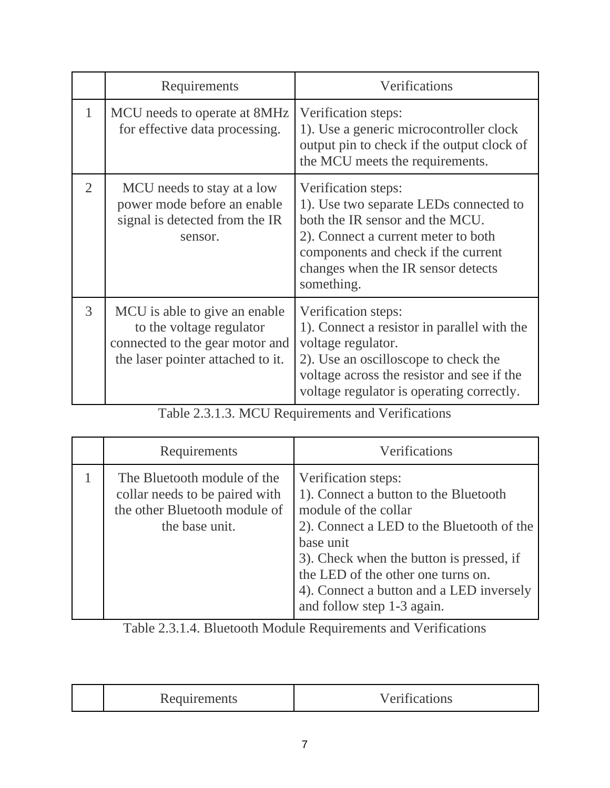|                | Requirements                                                                                                                      | Verifications                                                                                                                                                                                                                      |
|----------------|-----------------------------------------------------------------------------------------------------------------------------------|------------------------------------------------------------------------------------------------------------------------------------------------------------------------------------------------------------------------------------|
| $\mathbf{1}$   | MCU needs to operate at 8MHz<br>for effective data processing.                                                                    | Verification steps:<br>1). Use a generic microcontroller clock<br>output pin to check if the output clock of<br>the MCU meets the requirements.                                                                                    |
| $\overline{2}$ | MCU needs to stay at a low<br>power mode before an enable<br>signal is detected from the IR<br>sensor.                            | Verification steps:<br>1). Use two separate LEDs connected to<br>both the IR sensor and the MCU.<br>2). Connect a current meter to both<br>components and check if the current<br>changes when the IR sensor detects<br>something. |
| 3              | MCU is able to give an enable<br>to the voltage regulator<br>connected to the gear motor and<br>the laser pointer attached to it. | Verification steps:<br>1). Connect a resistor in parallel with the<br>voltage regulator.<br>2). Use an oscilloscope to check the<br>voltage across the resistor and see if the<br>voltage regulator is operating correctly.        |

Table 2.3.1.3. MCU Requirements and Verifications

| Requirements                                                                                                     | Verifications                                                                                                                                                                                                                                                                                              |
|------------------------------------------------------------------------------------------------------------------|------------------------------------------------------------------------------------------------------------------------------------------------------------------------------------------------------------------------------------------------------------------------------------------------------------|
| The Bluetooth module of the<br>collar needs to be paired with<br>the other Bluetooth module of<br>the base unit. | Verification steps:<br>1). Connect a button to the Bluetooth<br>module of the collar<br>2). Connect a LED to the Bluetooth of the<br>base unit<br>3). Check when the button is pressed, if<br>the LED of the other one turns on.<br>4). Connect a button and a LED inversely<br>and follow step 1-3 again. |

Table 2.3.1.4. Bluetooth Module Requirements and Verifications

| –<br><i>INGURANDIRO</i> |
|-------------------------|
|-------------------------|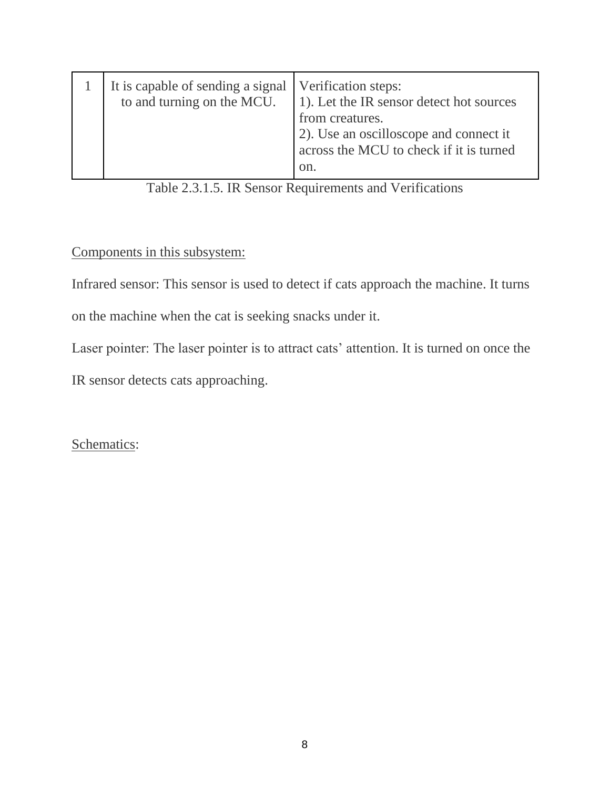| It is capable of sending a signal   Verification steps:<br>to and turning on the MCU. | 1). Let the IR sensor detect hot sources<br>from creatures.<br>(2). Use an oscilloscope and connect it<br>across the MCU to check if it is turned |
|---------------------------------------------------------------------------------------|---------------------------------------------------------------------------------------------------------------------------------------------------|
|                                                                                       | on.                                                                                                                                               |

## Table 2.3.1.5. IR Sensor Requirements and Verifications

#### Components in this subsystem:

Infrared sensor: This sensor is used to detect if cats approach the machine. It turns

on the machine when the cat is seeking snacks under it.

Laser pointer: The laser pointer is to attract cats' attention. It is turned on once the

IR sensor detects cats approaching.

Schematics: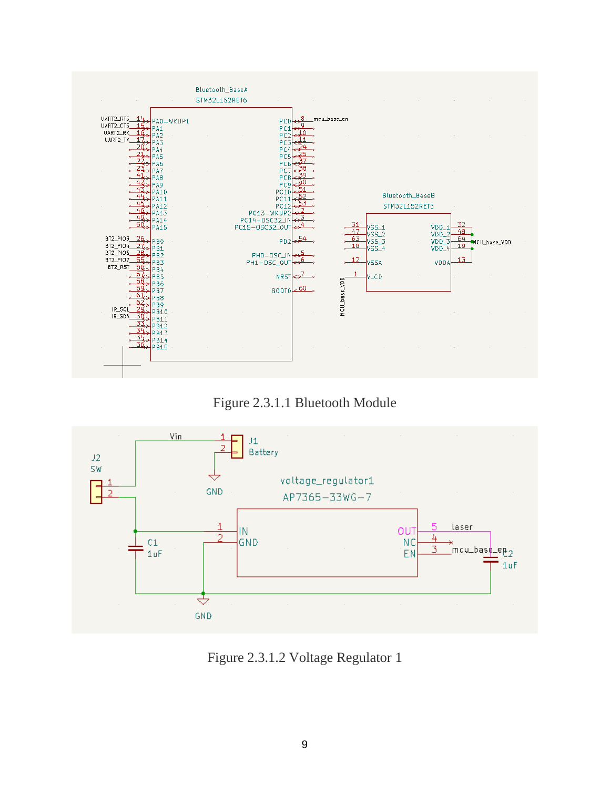





Figure 2.3.1.2 Voltage Regulator 1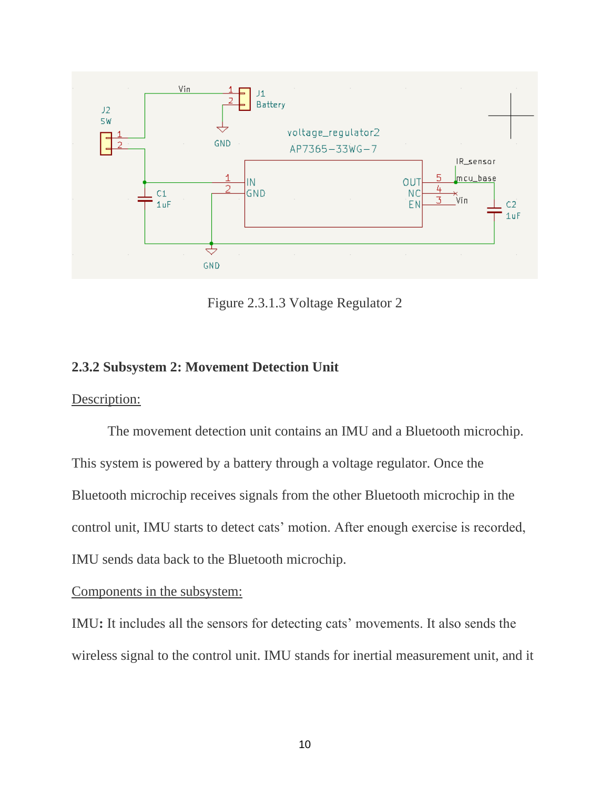

Figure 2.3.1.3 Voltage Regulator 2

#### **2.3.2 Subsystem 2: Movement Detection Unit**

Description:

The movement detection unit contains an IMU and a Bluetooth microchip. This system is powered by a battery through a voltage regulator. Once the Bluetooth microchip receives signals from the other Bluetooth microchip in the control unit, IMU starts to detect cats' motion. After enough exercise is recorded, IMU sends data back to the Bluetooth microchip.

Components in the subsystem:

IMU**:** It includes all the sensors for detecting cats' movements. It also sends the wireless signal to the control unit. IMU stands for inertial measurement unit, and it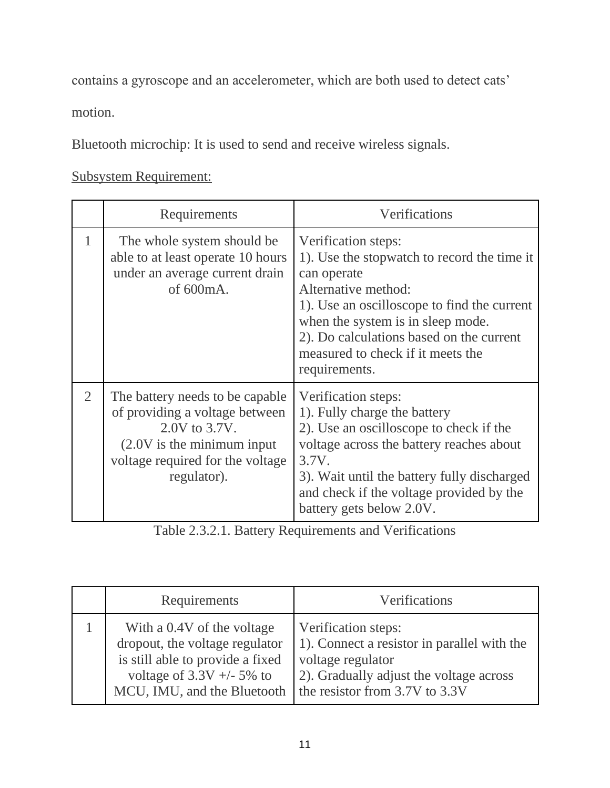contains a gyroscope and an accelerometer, which are both used to detect cats'

motion.

Bluetooth microchip: It is used to send and receive wireless signals.

Subsystem Requirement:

|                | Requirements                                                                                                                                                            | Verifications                                                                                                                                                                                                                                                                                  |
|----------------|-------------------------------------------------------------------------------------------------------------------------------------------------------------------------|------------------------------------------------------------------------------------------------------------------------------------------------------------------------------------------------------------------------------------------------------------------------------------------------|
| 1              | The whole system should be<br>able to at least operate 10 hours<br>under an average current drain<br>of 600mA.                                                          | Verification steps:<br>1). Use the stopwatch to record the time it<br>can operate<br>Alternative method:<br>1). Use an oscilloscope to find the current<br>when the system is in sleep mode.<br>2). Do calculations based on the current<br>measured to check if it meets the<br>requirements. |
| $\overline{2}$ | The battery needs to be capable.<br>of providing a voltage between<br>2.0V to 3.7V.<br>$(2.0V)$ is the minimum input<br>voltage required for the voltage<br>regulator). | Verification steps:<br>1). Fully charge the battery<br>2). Use an oscilloscope to check if the<br>voltage across the battery reaches about<br>3.7V.<br>3). Wait until the battery fully discharged<br>and check if the voltage provided by the<br>battery gets below 2.0V.                     |

Table 2.3.2.1. Battery Requirements and Verifications

| Requirements                                                                                                                                                   | Verifications                                                                                                                                                        |
|----------------------------------------------------------------------------------------------------------------------------------------------------------------|----------------------------------------------------------------------------------------------------------------------------------------------------------------------|
| With a 0.4V of the voltage<br>dropout, the voltage regulator<br>is still able to provide a fixed<br>voltage of $3.3V + -5\%$ to<br>MCU, IMU, and the Bluetooth | Verification steps:<br>1). Connect a resistor in parallel with the<br>voltage regulator<br>2). Gradually adjust the voltage across<br>the resistor from 3.7V to 3.3V |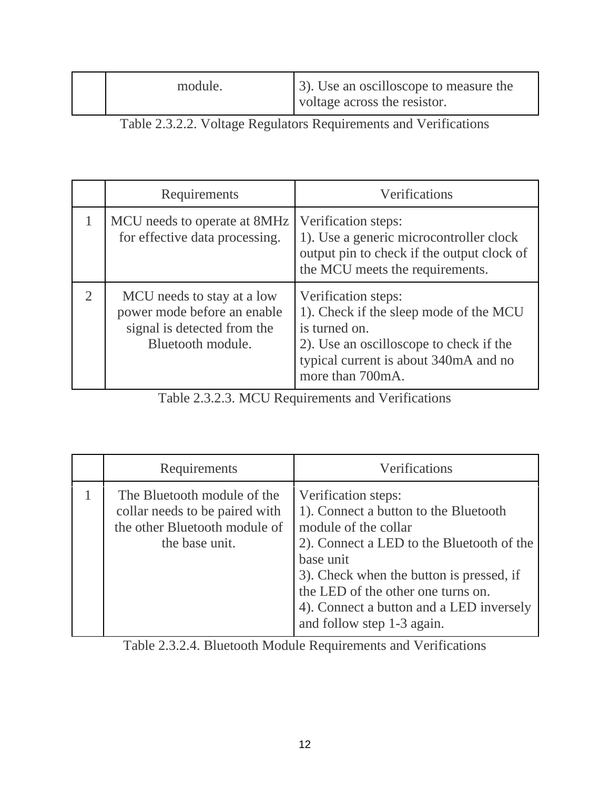| module. | 3). Use an oscilloscope to measure the |
|---------|----------------------------------------|
|         | voltage across the resistor.           |

Table 2.3.2.2. Voltage Regulators Requirements and Verifications

| Requirements                                                                                                  | Verifications                                                                                                                                                                          |
|---------------------------------------------------------------------------------------------------------------|----------------------------------------------------------------------------------------------------------------------------------------------------------------------------------------|
| MCU needs to operate at 8MHz<br>for effective data processing.                                                | Verification steps:<br>1). Use a generic microcontroller clock<br>output pin to check if the output clock of<br>the MCU meets the requirements.                                        |
| MCU needs to stay at a low<br>power mode before an enable<br>signal is detected from the<br>Bluetooth module. | Verification steps:<br>1). Check if the sleep mode of the MCU<br>is turned on.<br>2). Use an oscilloscope to check if the<br>typical current is about 340mA and no<br>more than 700mA. |

Table 2.3.2.3. MCU Requirements and Verifications

| Requirements                                                                                                     | Verifications                                                                                                                                                                                                                                                                                              |
|------------------------------------------------------------------------------------------------------------------|------------------------------------------------------------------------------------------------------------------------------------------------------------------------------------------------------------------------------------------------------------------------------------------------------------|
| The Bluetooth module of the<br>collar needs to be paired with<br>the other Bluetooth module of<br>the base unit. | Verification steps:<br>1). Connect a button to the Bluetooth<br>module of the collar<br>2). Connect a LED to the Bluetooth of the<br>base unit<br>3). Check when the button is pressed, if<br>the LED of the other one turns on.<br>4). Connect a button and a LED inversely<br>and follow step 1-3 again. |

Table 2.3.2.4. Bluetooth Module Requirements and Verifications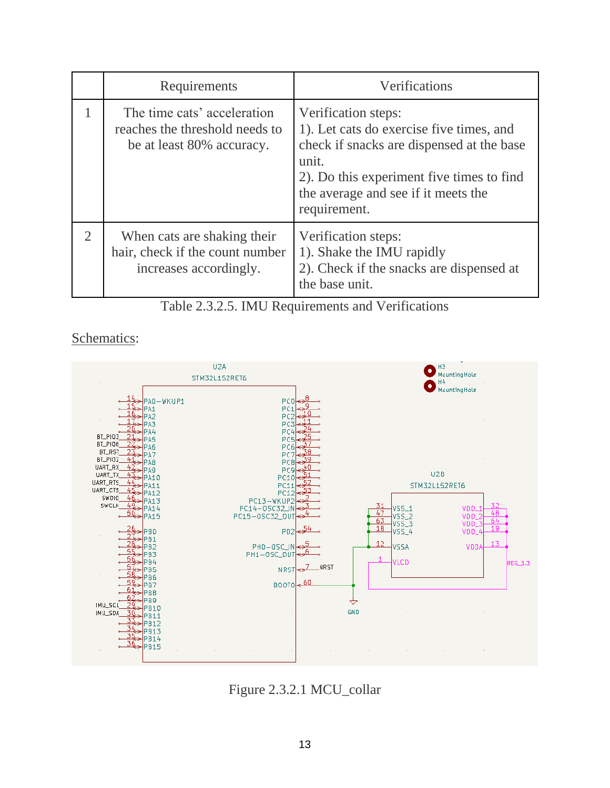|                | Requirements                                                                               | Verifications                                                                                                                                                                                                             |
|----------------|--------------------------------------------------------------------------------------------|---------------------------------------------------------------------------------------------------------------------------------------------------------------------------------------------------------------------------|
|                | The time cats' acceleration<br>reaches the threshold needs to<br>be at least 80% accuracy. | Verification steps:<br>1). Let cats do exercise five times, and<br>check if snacks are dispensed at the base<br>unit.<br>2). Do this experiment five times to find<br>the average and see if it meets the<br>requirement. |
| $\overline{2}$ | When cats are shaking their<br>hair, check if the count number<br>increases accordingly.   | Verification steps:<br>1). Shake the IMU rapidly<br>2). Check if the snacks are dispensed at<br>the base unit.                                                                                                            |

Table 2.3.2.5. IMU Requirements and Verifications

Schematics:



Figure 2.3.2.1 MCU\_collar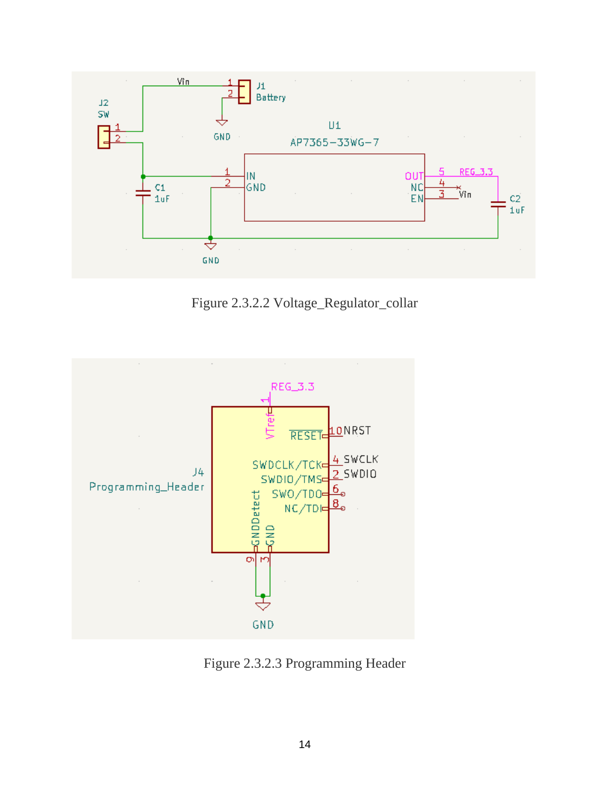

Figure 2.3.2.2 Voltage\_Regulator\_collar



Figure 2.3.2.3 Programming Header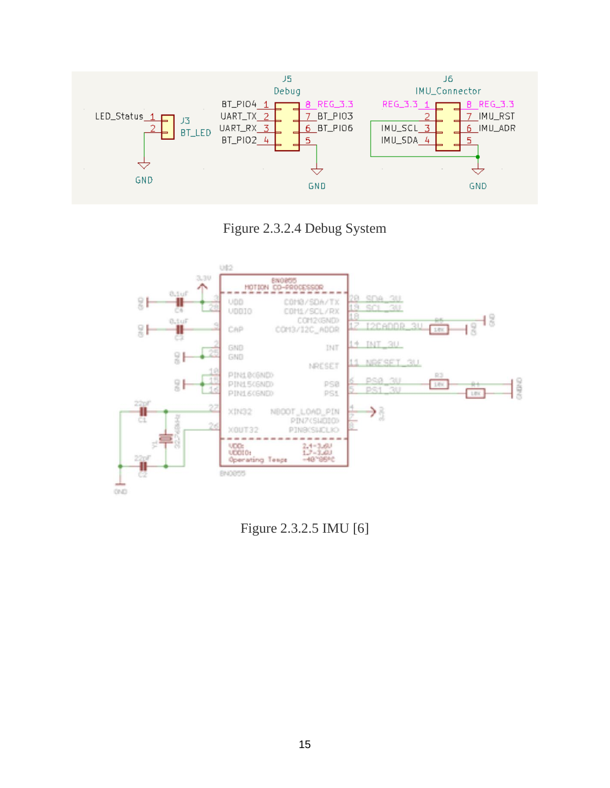

Figure 2.3.2.4 Debug System



Figure 2.3.2.5 IMU [6]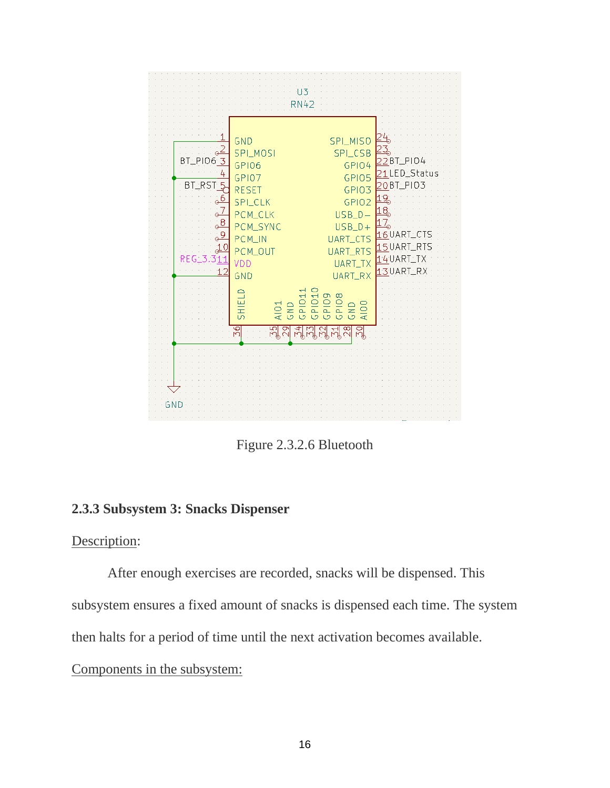

Figure 2.3.2.6 Bluetooth

#### **2.3.3 Subsystem 3: Snacks Dispenser**

#### Description:

After enough exercises are recorded, snacks will be dispensed. This subsystem ensures a fixed amount of snacks is dispensed each time. The system

then halts for a period of time until the next activation becomes available.

Components in the subsystem: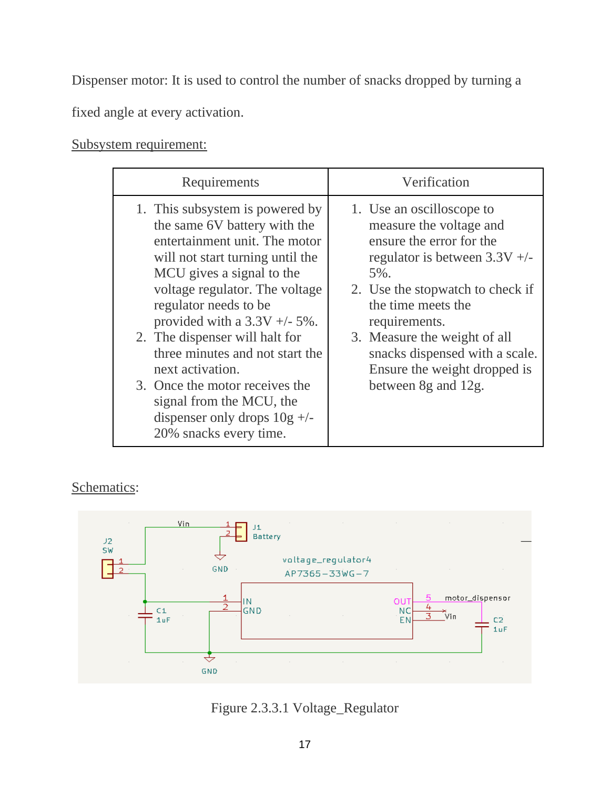Dispenser motor: It is used to control the number of snacks dropped by turning a

fixed angle at every activation.

Subsystem requirement:

| Requirements                                                                                                                                                                                                                                                                                                                                                                                                                                                                        | Verification                                                                                                                                                                                                                                                                                                                   |  |
|-------------------------------------------------------------------------------------------------------------------------------------------------------------------------------------------------------------------------------------------------------------------------------------------------------------------------------------------------------------------------------------------------------------------------------------------------------------------------------------|--------------------------------------------------------------------------------------------------------------------------------------------------------------------------------------------------------------------------------------------------------------------------------------------------------------------------------|--|
| 1. This subsystem is powered by<br>the same 6V battery with the<br>entertainment unit. The motor<br>will not start turning until the<br>MCU gives a signal to the<br>voltage regulator. The voltage<br>regulator needs to be<br>provided with a $3.3V +/- 5\%$ .<br>2. The dispenser will halt for<br>three minutes and not start the<br>next activation.<br>3. Once the motor receives the<br>signal from the MCU, the<br>dispenser only drops $10g$ +/-<br>20% snacks every time. | 1. Use an oscilloscope to<br>measure the voltage and<br>ensure the error for the<br>regulator is between $3.3V +/-$<br>5%.<br>2. Use the stopwatch to check if<br>the time meets the<br>requirements.<br>3. Measure the weight of all<br>snacks dispensed with a scale.<br>Ensure the weight dropped is<br>between 8g and 12g. |  |

## Schematics:



Figure 2.3.3.1 Voltage\_Regulator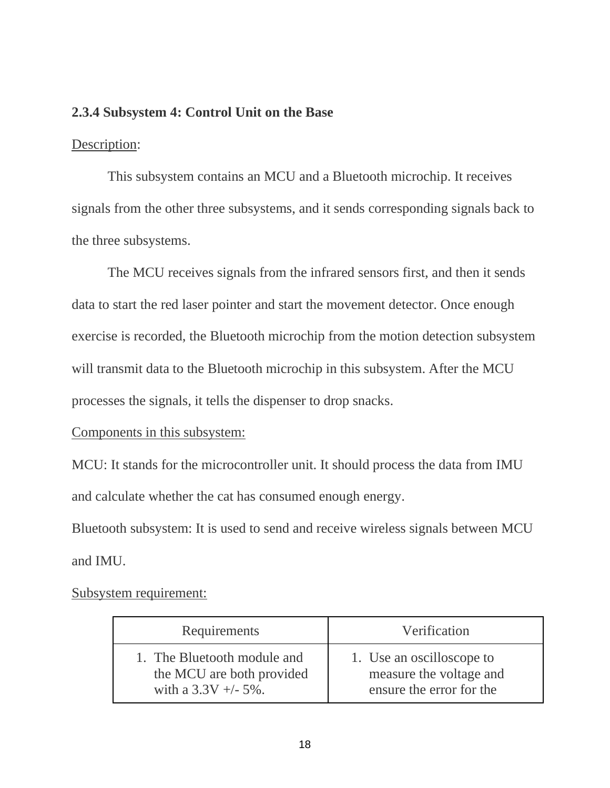#### **2.3.4 Subsystem 4: Control Unit on the Base**

#### Description:

This subsystem contains an MCU and a Bluetooth microchip. It receives signals from the other three subsystems, and it sends corresponding signals back to the three subsystems.

The MCU receives signals from the infrared sensors first, and then it sends data to start the red laser pointer and start the movement detector. Once enough exercise is recorded, the Bluetooth microchip from the motion detection subsystem will transmit data to the Bluetooth microchip in this subsystem. After the MCU processes the signals, it tells the dispenser to drop snacks.

#### Components in this subsystem:

MCU: It stands for the microcontroller unit. It should process the data from IMU and calculate whether the cat has consumed enough energy.

Bluetooth subsystem: It is used to send and receive wireless signals between MCU and IMU.

Subsystem requirement:

| Requirements                | Verification              |
|-----------------------------|---------------------------|
| 1. The Bluetooth module and | 1. Use an oscilloscope to |
| the MCU are both provided   | measure the voltage and   |
| with a $3.3V + -5\%$ .      | ensure the error for the  |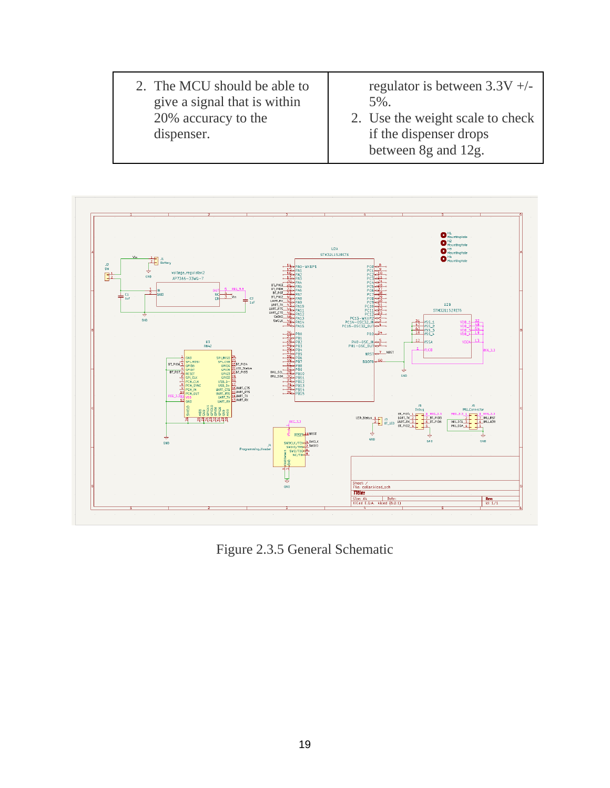2. The MCU should be able to give a signal that is within 20% accuracy to the dispenser. regulator is between 3.3V +/- 5%. 2. Use the weight scale to check if the dispenser drops between 8g and 12g.



Figure 2.3.5 General Schematic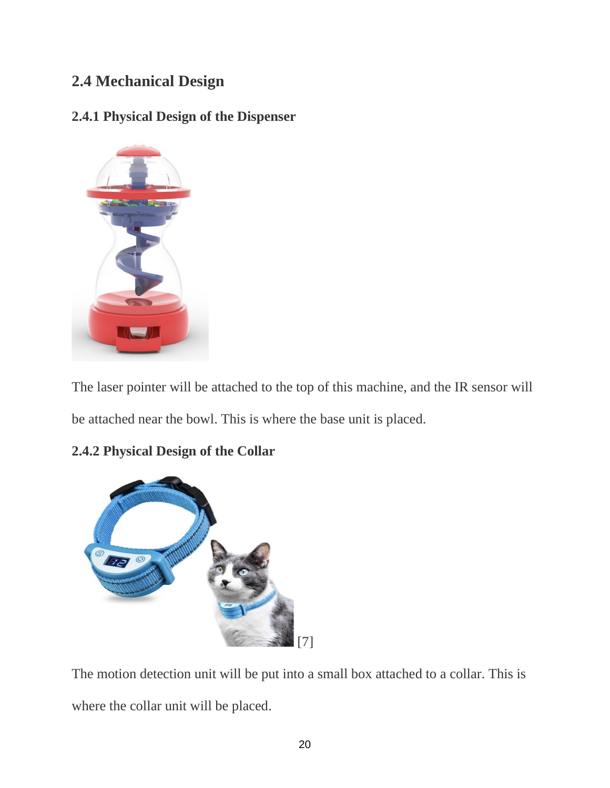## **2.4 Mechanical Design**

## **2.4.1 Physical Design of the Dispenser**



The laser pointer will be attached to the top of this machine, and the IR sensor will be attached near the bowl. This is where the base unit is placed.

## **2.4.2 Physical Design of the Collar**



The motion detection unit will be put into a small box attached to a collar. This is where the collar unit will be placed.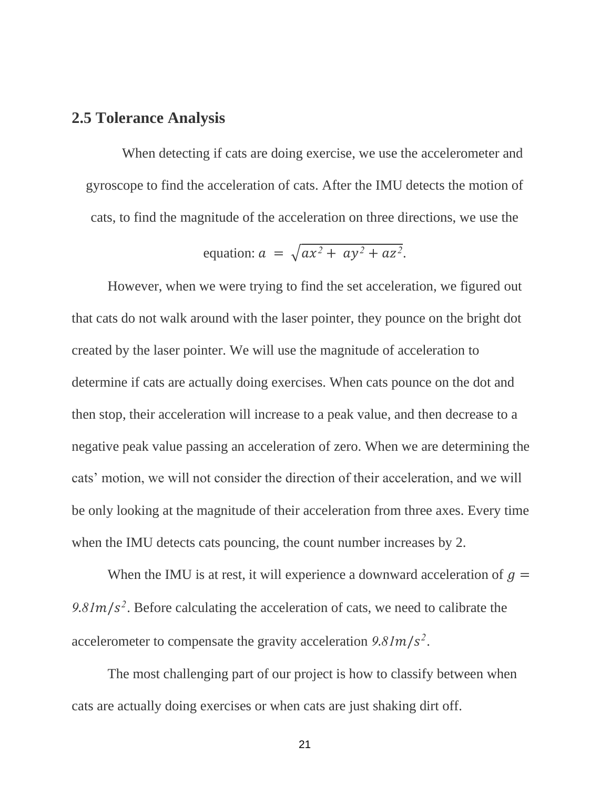### **2.5 Tolerance Analysis**

When detecting if cats are doing exercise, we use the accelerometer and gyroscope to find the acceleration of cats. After the IMU detects the motion of cats, to find the magnitude of the acceleration on three directions, we use the

equation: 
$$
a = \sqrt{ax^2 + ay^2 + az^2}
$$
.

However, when we were trying to find the set acceleration, we figured out that cats do not walk around with the laser pointer, they pounce on the bright dot created by the laser pointer. We will use the magnitude of acceleration to determine if cats are actually doing exercises. When cats pounce on the dot and then stop, their acceleration will increase to a peak value, and then decrease to a negative peak value passing an acceleration of zero. When we are determining the cats' motion, we will not consider the direction of their acceleration, and we will be only looking at the magnitude of their acceleration from three axes. Every time when the IMU detects cats pouncing, the count number increases by 2.

When the IMU is at rest, it will experience a downward acceleration of  $g =$  $9.81 \text{m/s}^2$ . Before calculating the acceleration of cats, we need to calibrate the accelerometer to compensate the gravity acceleration  $9.81 \text{m/s}^2$ .

The most challenging part of our project is how to classify between when cats are actually doing exercises or when cats are just shaking dirt off.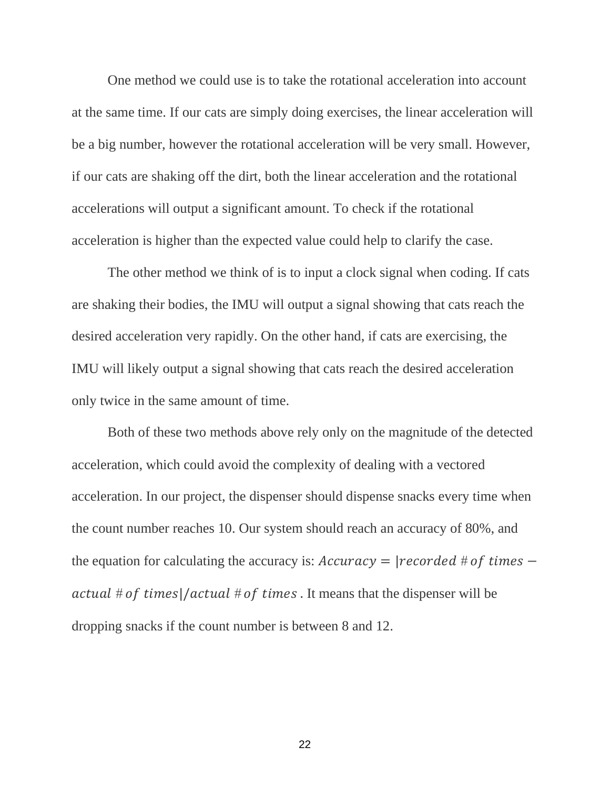One method we could use is to take the rotational acceleration into account at the same time. If our cats are simply doing exercises, the linear acceleration will be a big number, however the rotational acceleration will be very small. However, if our cats are shaking off the dirt, both the linear acceleration and the rotational accelerations will output a significant amount. To check if the rotational acceleration is higher than the expected value could help to clarify the case.

The other method we think of is to input a clock signal when coding. If cats are shaking their bodies, the IMU will output a signal showing that cats reach the desired acceleration very rapidly. On the other hand, if cats are exercising, the IMU will likely output a signal showing that cats reach the desired acceleration only twice in the same amount of time.

Both of these two methods above rely only on the magnitude of the detected acceleration, which could avoid the complexity of dealing with a vectored acceleration. In our project, the dispenser should dispense snacks every time when the count number reaches 10. Our system should reach an accuracy of 80%, and the equation for calculating the accuracy is:  $Accuracy = | recorded \# of \ times$ *actual*  $#$  *of times* $|/actual$   $#$  *of times*. It means that the dispenser will be dropping snacks if the count number is between 8 and 12.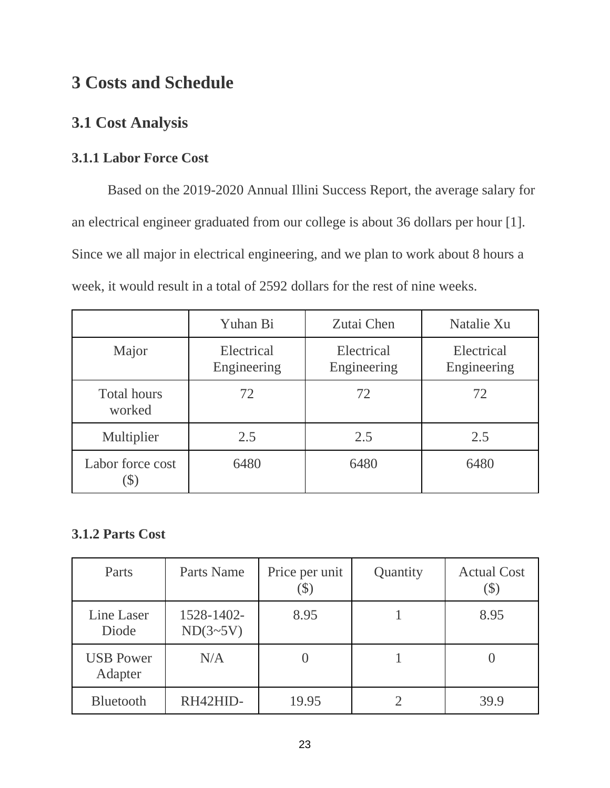# **3 Costs and Schedule**

## **3.1 Cost Analysis**

## **3.1.1 Labor Force Cost**

Based on the 2019-2020 Annual Illini Success Report, the average salary for an electrical engineer graduated from our college is about 36 dollars per hour [1]. Since we all major in electrical engineering, and we plan to work about 8 hours a week, it would result in a total of 2592 dollars for the rest of nine weeks.

|                              | Yuhan Bi                  | Zutai Chen                | Natalie Xu                |
|------------------------------|---------------------------|---------------------------|---------------------------|
| Major                        | Electrical<br>Engineering | Electrical<br>Engineering | Electrical<br>Engineering |
| <b>Total hours</b><br>worked | 72                        | 72                        | 72                        |
| Multiplier                   | 2.5                       | 2.5                       | 2.5                       |
| Labor force cost             | 6480                      | 6480                      | 6480                      |

## **3.1.2 Parts Cost**

| Parts                       | Parts Name             | Price per unit | Quantity | <b>Actual Cost</b> |
|-----------------------------|------------------------|----------------|----------|--------------------|
| Line Laser<br>Diode         | 1528-1402-<br>ND(3~5V) | 8.95           |          | 8.95               |
| <b>USB Power</b><br>Adapter | N/A                    |                |          |                    |
| Bluetooth                   | RH42HID-               | 19.95          |          | 39.9               |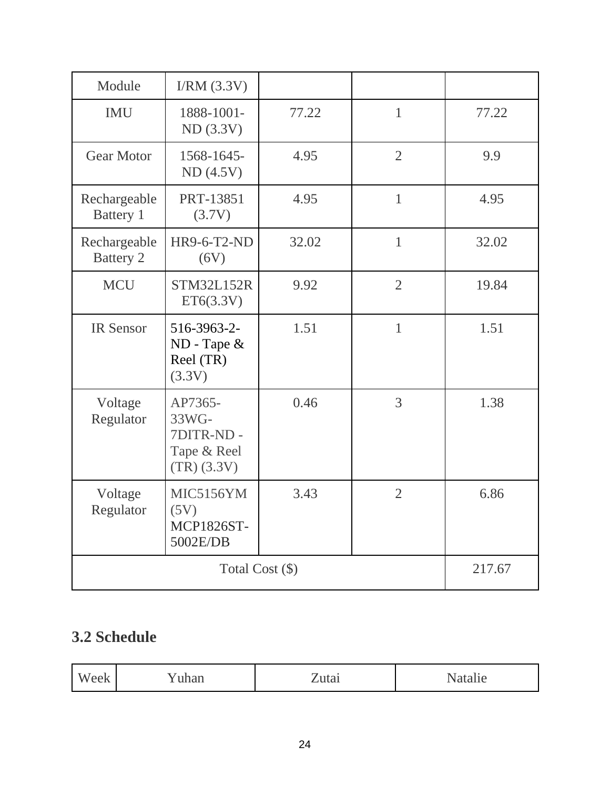| Module                           | I/RM (3.3V)                                                   |       |                |        |
|----------------------------------|---------------------------------------------------------------|-------|----------------|--------|
| <b>IMU</b>                       | 1888-1001-<br>ND(3.3V)                                        | 77.22 | $\mathbf{1}$   | 77.22  |
| <b>Gear Motor</b>                | 1568-1645-<br>ND(4.5V)                                        | 4.95  | $\overline{2}$ | 9.9    |
| Rechargeable<br>Battery 1        | PRT-13851<br>(3.7V)                                           | 4.95  | $\mathbf{1}$   | 4.95   |
| Rechargeable<br><b>Battery 2</b> | <b>HR9-6-T2-ND</b><br>(6V)                                    | 32.02 | $\mathbf{1}$   | 32.02  |
| <b>MCU</b>                       | <b>STM32L152R</b><br>ET6(3.3V)                                | 9.92  | $\overline{2}$ | 19.84  |
| <b>IR Sensor</b>                 | 516-3963-2-<br>$ND$ - Tape $\&$<br>Reel (TR)<br>(3.3V)        | 1.51  | $\mathbf{1}$   | 1.51   |
| Voltage<br>Regulator             | AP7365-<br>33WG-<br>7DITR-ND-<br>Tape & Reel<br>$(TR)$ (3.3V) | 0.46  | 3              | 1.38   |
| Voltage<br>Regulator             | MIC5156YM<br>(5V)<br><b>MCP1826ST-</b><br>5002E/DB            | 3.43  | $\overline{2}$ | 6.86   |
| Total Cost (\$)                  |                                                               |       |                | 217.67 |

# **3.2 Schedule**

| w<br><u></u><br>$\ddot{\phantom{0}}$ | . |
|--------------------------------------|---|
|--------------------------------------|---|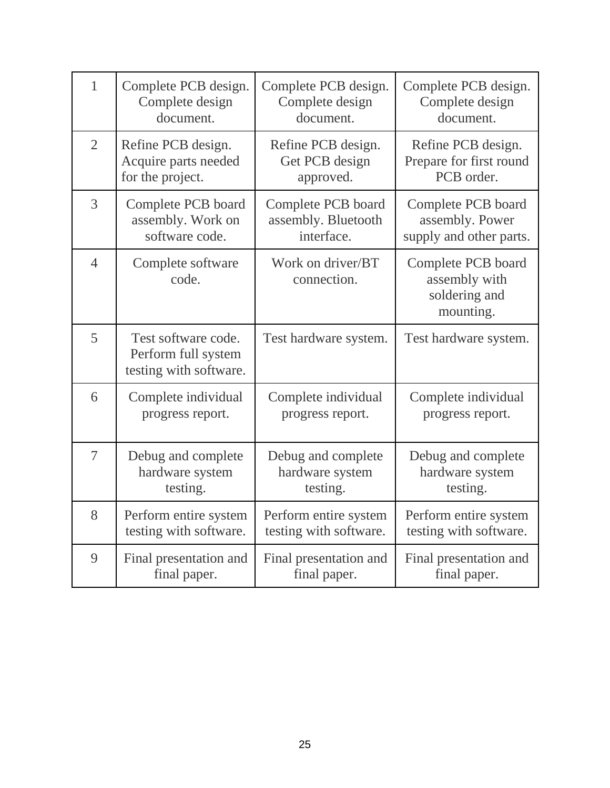| $\mathbf{1}$   | Complete PCB design.                                                 | Complete PCB design.             | Complete PCB design.                                              |
|----------------|----------------------------------------------------------------------|----------------------------------|-------------------------------------------------------------------|
|                | Complete design                                                      | Complete design                  | Complete design                                                   |
|                | document.                                                            | document.                        | document.                                                         |
| $\overline{2}$ | Refine PCB design.                                                   | Refine PCB design.               | Refine PCB design.                                                |
|                | Acquire parts needed                                                 | Get PCB design                   | Prepare for first round                                           |
|                | for the project.                                                     | approved.                        | PCB order.                                                        |
| 3              | Complete PCB board                                                   | Complete PCB board               | Complete PCB board                                                |
|                | assembly. Work on                                                    | assembly. Bluetooth              | assembly. Power                                                   |
|                | software code.                                                       | interface.                       | supply and other parts.                                           |
| $\overline{4}$ | Complete software<br>code.                                           | Work on driver/BT<br>connection. | Complete PCB board<br>assembly with<br>soldering and<br>mounting. |
| 5              | Test software code.<br>Perform full system<br>testing with software. | Test hardware system.            | Test hardware system.                                             |
| 6              | Complete individual                                                  | Complete individual              | Complete individual                                               |
|                | progress report.                                                     | progress report.                 | progress report.                                                  |
| $\overline{7}$ | Debug and complete                                                   | Debug and complete               | Debug and complete                                                |
|                | hardware system                                                      | hardware system                  | hardware system                                                   |
|                | testing.                                                             | testing.                         | testing.                                                          |
| 8              | Perform entire system                                                | Perform entire system            | Perform entire system                                             |
|                | testing with software.                                               | testing with software.           | testing with software.                                            |
| 9              | Final presentation and                                               | Final presentation and           | Final presentation and                                            |
|                | final paper.                                                         | final paper.                     | final paper.                                                      |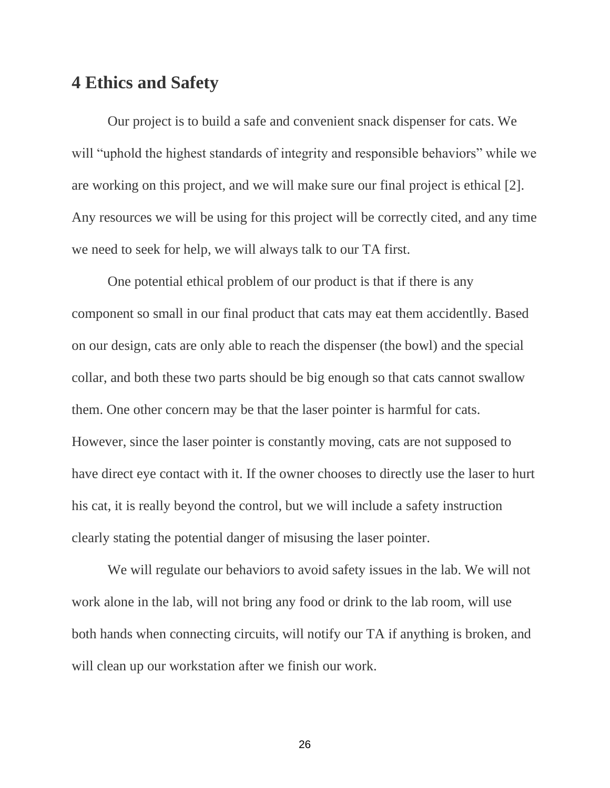## **4 Ethics and Safety**

Our project is to build a safe and convenient snack dispenser for cats. We will "uphold the highest standards of integrity and responsible behaviors" while we are working on this project, and we will make sure our final project is ethical [2]. Any resources we will be using for this project will be correctly cited, and any time we need to seek for help, we will always talk to our TA first.

One potential ethical problem of our product is that if there is any component so small in our final product that cats may eat them accidentlly. Based on our design, cats are only able to reach the dispenser (the bowl) and the special collar, and both these two parts should be big enough so that cats cannot swallow them. One other concern may be that the laser pointer is harmful for cats. However, since the laser pointer is constantly moving, cats are not supposed to have direct eye contact with it. If the owner chooses to directly use the laser to hurt his cat, it is really beyond the control, but we will include a safety instruction clearly stating the potential danger of misusing the laser pointer.

We will regulate our behaviors to avoid safety issues in the lab. We will not work alone in the lab, will not bring any food or drink to the lab room, will use both hands when connecting circuits, will notify our TA if anything is broken, and will clean up our workstation after we finish our work.

26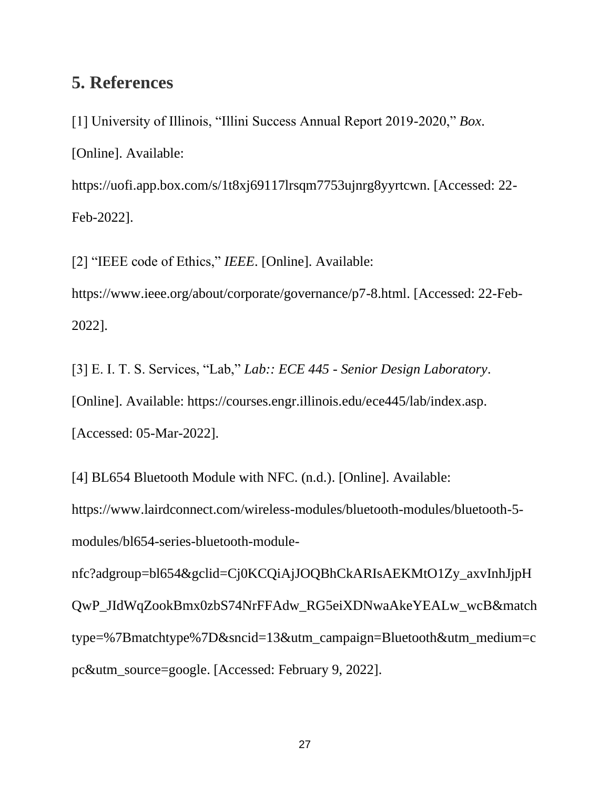## **5. References**

[1] University of Illinois, "Illini Success Annual Report 2019-2020," *Box*. [Online]. Available: https://uofi.app.box.com/s/1t8xj69117lrsqm7753ujnrg8yyrtcwn. [Accessed: 22- Feb-2022].

[2] "IEEE code of Ethics," *IEEE*. [Online]. Available:

https://www.ieee.org/about/corporate/governance/p7-8.html. [Accessed: 22-Feb-2022].

[3] E. I. T. S. Services, "Lab," *Lab:: ECE 445 - Senior Design Laboratory*. [Online]. Available: https://courses.engr.illinois.edu/ece445/lab/index.asp. [Accessed: 05-Mar-2022].

[4] BL654 Bluetooth Module with NFC. (n.d.). [Online]. Available:

[https://www.lairdconnect.com/wireless-modules/bluetooth-modules/bluetooth-5](https://www.lairdconnect.com/wireless-modules/bluetooth-modules/bluetooth-5-modules/bl654-series-bluetooth-module-nfc?adgroup=bl654&gclid=Cj0KCQiAjJOQBhCkARIsAEKMtO1Zy_axvInhJjpHQwP_JIdWqZookBmx0zbS74NrFFAdw_RG5eiXDNwaAkeYEALw_wcB&matchtype=%7Bmatchtype%7D&sncid=13&utm_campaign=Bluetooth&utm_medium=cpc&utm_source=google) [modules/bl654-series-bluetooth-module-](https://www.lairdconnect.com/wireless-modules/bluetooth-modules/bluetooth-5-modules/bl654-series-bluetooth-module-nfc?adgroup=bl654&gclid=Cj0KCQiAjJOQBhCkARIsAEKMtO1Zy_axvInhJjpHQwP_JIdWqZookBmx0zbS74NrFFAdw_RG5eiXDNwaAkeYEALw_wcB&matchtype=%7Bmatchtype%7D&sncid=13&utm_campaign=Bluetooth&utm_medium=cpc&utm_source=google)

[nfc?adgroup=bl654&gclid=Cj0KCQiAjJOQBhCkARIsAEKMtO1Zy\\_axvInhJjpH](https://www.lairdconnect.com/wireless-modules/bluetooth-modules/bluetooth-5-modules/bl654-series-bluetooth-module-nfc?adgroup=bl654&gclid=Cj0KCQiAjJOQBhCkARIsAEKMtO1Zy_axvInhJjpHQwP_JIdWqZookBmx0zbS74NrFFAdw_RG5eiXDNwaAkeYEALw_wcB&matchtype=%7Bmatchtype%7D&sncid=13&utm_campaign=Bluetooth&utm_medium=cpc&utm_source=google) [QwP\\_JIdWqZookBmx0zbS74NrFFAdw\\_RG5eiXDNwaAkeYEALw\\_wcB&match](https://www.lairdconnect.com/wireless-modules/bluetooth-modules/bluetooth-5-modules/bl654-series-bluetooth-module-nfc?adgroup=bl654&gclid=Cj0KCQiAjJOQBhCkARIsAEKMtO1Zy_axvInhJjpHQwP_JIdWqZookBmx0zbS74NrFFAdw_RG5eiXDNwaAkeYEALw_wcB&matchtype=%7Bmatchtype%7D&sncid=13&utm_campaign=Bluetooth&utm_medium=cpc&utm_source=google) [type=%7Bmatchtype%7D&sncid=13&utm\\_campaign=Bluetooth&utm\\_medium=c](https://www.lairdconnect.com/wireless-modules/bluetooth-modules/bluetooth-5-modules/bl654-series-bluetooth-module-nfc?adgroup=bl654&gclid=Cj0KCQiAjJOQBhCkARIsAEKMtO1Zy_axvInhJjpHQwP_JIdWqZookBmx0zbS74NrFFAdw_RG5eiXDNwaAkeYEALw_wcB&matchtype=%7Bmatchtype%7D&sncid=13&utm_campaign=Bluetooth&utm_medium=cpc&utm_source=google) [pc&utm\\_source=google.](https://www.lairdconnect.com/wireless-modules/bluetooth-modules/bluetooth-5-modules/bl654-series-bluetooth-module-nfc?adgroup=bl654&gclid=Cj0KCQiAjJOQBhCkARIsAEKMtO1Zy_axvInhJjpHQwP_JIdWqZookBmx0zbS74NrFFAdw_RG5eiXDNwaAkeYEALw_wcB&matchtype=%7Bmatchtype%7D&sncid=13&utm_campaign=Bluetooth&utm_medium=cpc&utm_source=google) [Accessed: February 9, 2022].